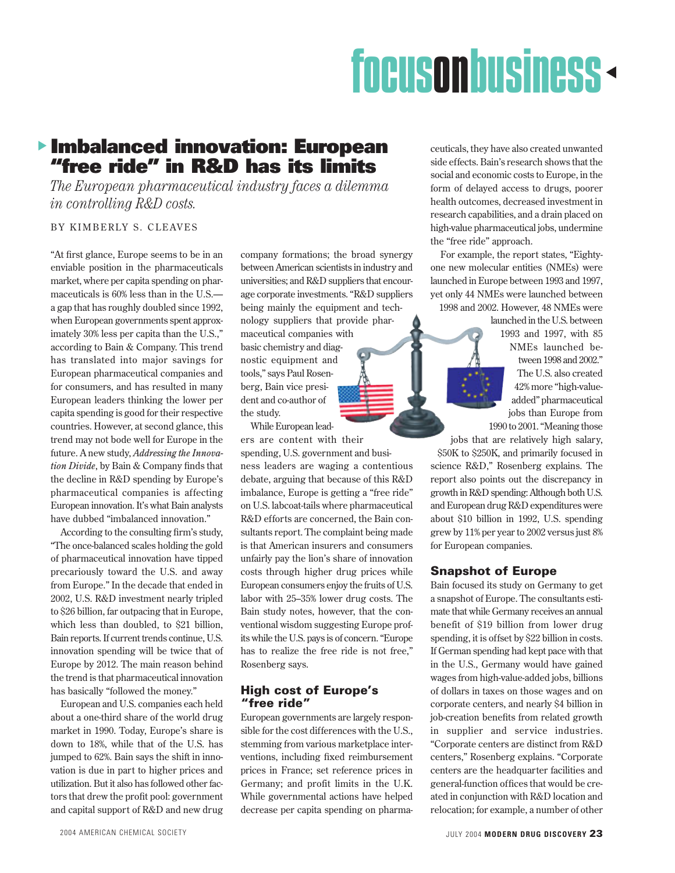# dfocusonbusiness

### s **Imbalanced innovation: European "free ride" in R&D has its limits**

*The European pharmaceutical industry faces a dilemma in controlling R&D costs.*

#### BY KIMBERLY S. CLEAVES

"At first glance, Europe seems to be in an enviable position in the pharmaceuticals market, where per capita spending on pharmaceuticals is 60% less than in the U.S. a gap that has roughly doubled since 1992, when European governments spent approximately 30% less per capita than the U.S.," according to Bain & Company. This trend has translated into major savings for European pharmaceutical companies and for consumers, and has resulted in many European leaders thinking the lower per capita spending is good for their respective countries. However, at second glance, this trend may not bode well for Europe in the future. A new study, *Addressing the Innovation Divide*, by Bain & Company finds that the decline in R&D spending by Europe's pharmaceutical companies is affecting European innovation. It's what Bain analysts have dubbed "imbalanced innovation."

According to the consulting firm's study, "The once-balanced scales holding the gold of pharmaceutical innovation have tipped precariously toward the U.S. and away from Europe." In the decade that ended in 2002, U.S. R&D investment nearly tripled to \$26 billion, far outpacing that in Europe, which less than doubled, to \$21 billion, Bain reports. If current trends continue, U.S. innovation spending will be twice that of Europe by 2012. The main reason behind the trend is that pharmaceutical innovation has basically "followed the money."

European and U.S. companies each held about a one-third share of the world drug market in 1990. Today, Europe's share is down to 18%, while that of the U.S. has jumped to 62%. Bain says the shift in innovation is due in part to higher prices and utilization. But it also has followed other factors that drew the profit pool: government and capital support of R&D and new drug company formations; the broad synergy between American scientists in industry and universities; and R&D suppliers that encourage corporate investments. "R&D suppliers being mainly the equipment and technology suppliers that provide pharmaceutical companies with basic chemistry and diagnostic equipment and tools," says Paul Rosenberg, Bain vice president and co-author of the study.

While European leaders are content with their spending, U.S. government and business leaders are waging a contentious debate, arguing that because of this R&D imbalance, Europe is getting a "free ride" on U.S. labcoat-tails where pharmaceutical R&D efforts are concerned, the Bain consultants report. The complaint being made is that American insurers and consumers unfairly pay the lion's share of innovation costs through higher drug prices while European consumers enjoy the fruits of U.S. labor with 25–35% lower drug costs. The Bain study notes, however, that the conventional wisdom suggesting Europe profits while the U.S. pays is of concern. "Europe has to realize the free ride is not free," Rosenberg says.

#### **High cost of Europe's "free ride"**

European governments are largely responsible for the cost differences with the U.S., stemming from various marketplace interventions, including fixed reimbursement prices in France; set reference prices in Germany; and profit limits in the U.K. While governmental actions have helped decrease per capita spending on pharma-

ceuticals, they have also created unwanted side effects. Bain's research shows that the social and economic costs to Europe, in the form of delayed access to drugs, poorer health outcomes, decreased investment in research capabilities, and a drain placed on high-value pharmaceutical jobs, undermine the "free ride" approach.

For example, the report states, "Eightyone new molecular entities (NMEs) were launched in Europe between 1993 and 1997, yet only 44 NMEs were launched between 1998 and 2002. However, 48 NMEs were

> launched in the U.S. between 1993 and 1997, with 85 NMEs launched between 1998 and 2002." The U.S. also created 42% more "high-valueadded" pharmaceutical jobs than Europe from 1990 to 2001. "Meaning those

jobs that are relatively high salary, \$50K to \$250K, and primarily focused in science R&D," Rosenberg explains. The report also points out the discrepancy in growth in R&D spending: Although both U.S. and European drug R&D expenditures were about \$10 billion in 1992, U.S. spending

grew by 11% per year to 2002 versus just 8%

#### **Snapshot of Europe**

for European companies.

Bain focused its study on Germany to get a snapshot of Europe. The consultants estimate that while Germany receives an annual benefit of \$19 billion from lower drug spending, it is offset by \$22 billion in costs. If German spending had kept pace with that in the U.S., Germany would have gained wages from high-value-added jobs, billions of dollars in taxes on those wages and on corporate centers, and nearly \$4 billion in job-creation benefits from related growth in supplier and service industries. "Corporate centers are distinct from R&D centers," Rosenberg explains. "Corporate centers are the headquarter facilities and general-function offices that would be created in conjunction with R&D location and relocation; for example, a number of other